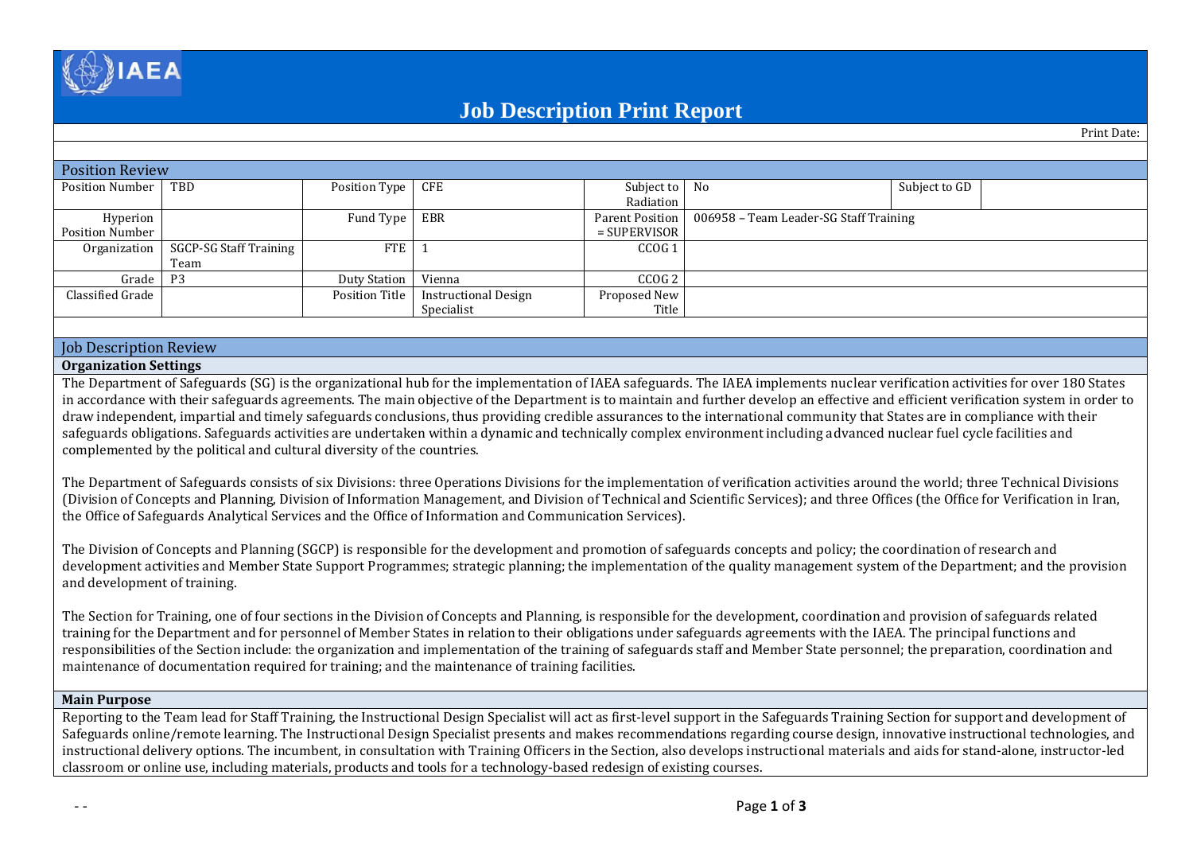

# **Job Description Print Report**

Print Date:

| <b>Position Review</b> |                        |                     |                             |                   |                                                          |               |  |  |  |
|------------------------|------------------------|---------------------|-----------------------------|-------------------|----------------------------------------------------------|---------------|--|--|--|
| Position Number        | TBD                    | Position Type CFE   |                             | Subject to No     |                                                          | Subject to GD |  |  |  |
|                        |                        |                     |                             | Radiation         |                                                          |               |  |  |  |
| Hyperion               |                        | Fund Type           | EBR                         |                   | Parent Position   006958 - Team Leader-SG Staff Training |               |  |  |  |
| Position Number        |                        |                     |                             | $=$ SUPERVISOR    |                                                          |               |  |  |  |
| Organization           | SGCP-SG Staff Training | FTE                 |                             | CCOG <sub>1</sub> |                                                          |               |  |  |  |
|                        | Team                   |                     |                             |                   |                                                          |               |  |  |  |
| Grade                  | P3                     | <b>Duty Station</b> | Vienna                      | CCOG <sub>2</sub> |                                                          |               |  |  |  |
| Classified Grade       |                        | Position Title      | <b>Instructional Design</b> | Proposed New      |                                                          |               |  |  |  |
|                        |                        |                     | Specialist                  | Title             |                                                          |               |  |  |  |
|                        |                        |                     |                             |                   |                                                          |               |  |  |  |
|                        |                        |                     |                             |                   |                                                          |               |  |  |  |

#### Job Description Review

#### **Organization Settings**

The Department of Safeguards (SG) is the organizational hub for the implementation of IAEA safeguards. The IAEA implements nuclear verification activities for over 180 States in accordance with their safeguards agreements. The main objective of the Department is to maintain and further develop an effective and efficient verification system in order to draw independent, impartial and timely safeguards conclusions, thus providing credible assurances to the international community that States are in compliance with their safeguards obligations. Safeguards activities are undertaken within a dynamic and technically complex environment including advanced nuclear fuel cycle facilities and complemented by the political and cultural diversity of the countries.

The Department of Safeguards consists of six Divisions: three Operations Divisions for the implementation of verification activities around the world; three Technical Divisions (Division of Concepts and Planning, Division of Information Management, and Division of Technical and Scientific Services); and three Offices (the Office for Verification in Iran, the Office of Safeguards Analytical Services and the Office of Information and Communication Services).

The Division of Concepts and Planning (SGCP) is responsible for the development and promotion of safeguards concepts and policy; the coordination of research and development activities and Member State Support Programmes; strategic planning; the implementation of the quality management system of the Department; and the provision and development of training.

The Section for Training, one of four sections in the Division of Concepts and Planning, is responsible for the development, coordination and provision of safeguards related training for the Department and for personnel of Member States in relation to their obligations under safeguards agreements with the IAEA. The principal functions and responsibilities of the Section include: the organization and implementation of the training of safeguards staff and Member State personnel; the preparation, coordination and maintenance of documentation required for training; and the maintenance of training facilities.

#### **Main Purpose**

Reporting to the Team lead for Staff Training, the Instructional Design Specialist will act as first-level support in the Safeguards Training Section for support and development of Safeguards online/remote learning. The Instructional Design Specialist presents and makes recommendations regarding course design, innovative instructional technologies, and instructional delivery options. The incumbent, in consultation with Training Officers in the Section, also develops instructional materials and aids for stand-alone, instructor-led classroom or online use, including materials, products and tools for a technology-based redesign of existing courses.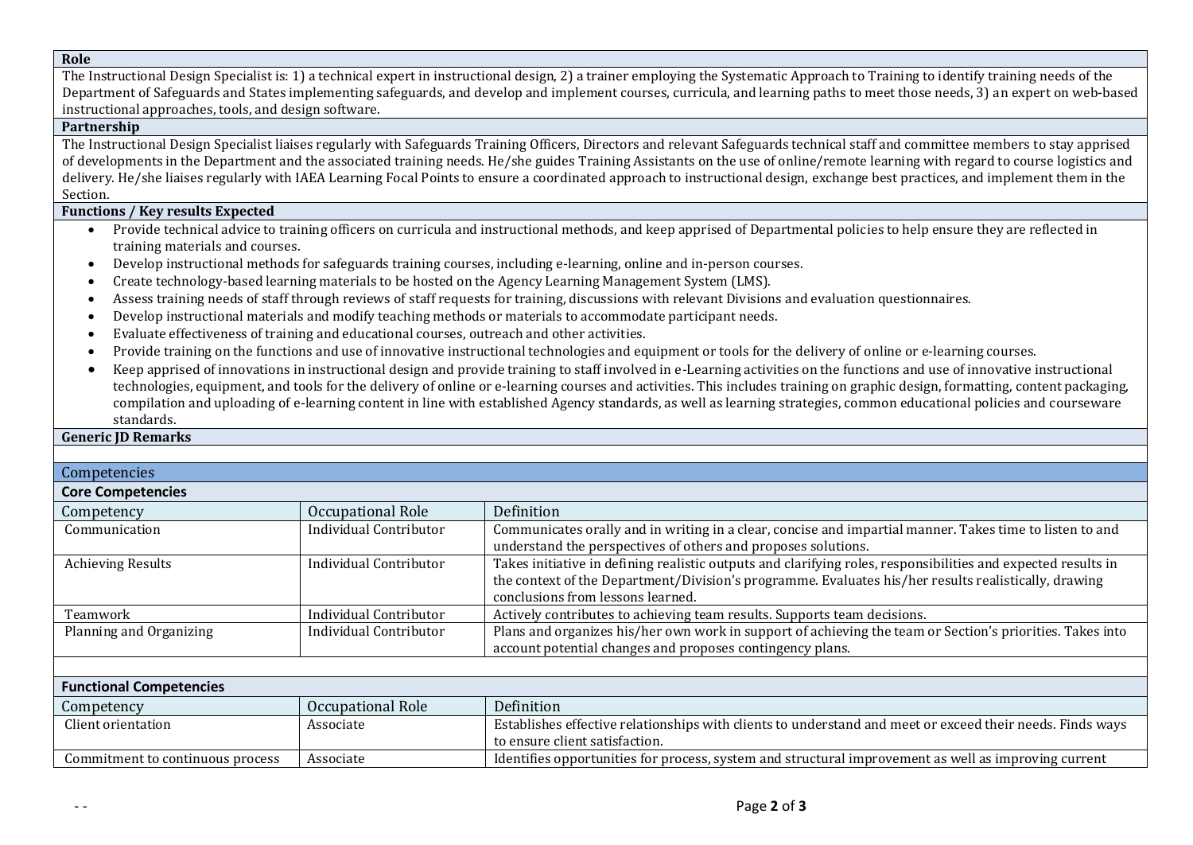### **Role**

The Instructional Design Specialist is: 1) a technical expert in instructional design, 2) a trainer employing the Systematic Approach to Training to identify training needs of the Department of Safeguards and States implementing safeguards, and develop and implement courses, curricula, and learning paths to meet those needs, 3) an expert on web-based instructional approaches, tools, and design software.

## **Partnership**

The Instructional Design Specialist liaises regularly with Safeguards Training Officers, Directors and relevant Safeguards technical staff and committee members to stay apprised of developments in the Department and the associated training needs. He/she guides Training Assistants on the use of online/remote learning with regard to course logistics and delivery. He/she liaises regularly with IAEA Learning Focal Points to ensure a coordinated approach to instructional design, exchange best practices, and implement them in the Section.

# **Functions / Key results Expected**

- Provide technical advice to training officers on curricula and instructional methods, and keep apprised of Departmental policies to help ensure they are reflected in training materials and courses.
- Develop instructional methods for safeguards training courses, including e-learning, online and in-person courses.
- Create technology-based learning materials to be hosted on the Agency Learning Management System (LMS).
- Assess training needs of staff through reviews of staff requests for training, discussions with relevant Divisions and evaluation questionnaires.
- Develop instructional materials and modify teaching methods or materials to accommodate participant needs.
- Evaluate effectiveness of training and educational courses, outreach and other activities.
- Provide training on the functions and use of innovative instructional technologies and equipment or tools for the delivery of online or e-learning courses.
- Keep apprised of innovations in instructional design and provide training to staff involved in e-Learning activities on the functions and use of innovative instructional technologies, equipment, and tools for the delivery of online or e-learning courses and activities. This includes training on graphic design, formatting, content packaging, compilation and uploading of e-learning content in line with established Agency standards, as well as learning strategies, common educational policies and courseware standards.

#### **Generic JD Remarks**

# Competencies **Core Competencies** Competency Occupational Role Definition Communication **Individual Contributor** Communicates orally and in writing in a clear, concise and impartial manner. Takes time to listen to and understand the perspectives of others and proposes solutions. Achieving Results **Individual Contributor** Takes initiative in defining realistic outputs and clarifying roles, responsibilities and expected results in the context of the Department/Division's programme. Evaluates his/her results realistically, drawing conclusions from lessons learned. Teamwork Individual Contributor Actively contributes to achieving team results. Supports team decisions. Planning and Organizing Individual Contributor Plans and organizes his/her own work in support of achieving the team or Section's priorities. Takes into

|                                  |                   | account potential changes and proposes contingency plans.                                                 |  |  |  |  |  |
|----------------------------------|-------------------|-----------------------------------------------------------------------------------------------------------|--|--|--|--|--|
|                                  |                   |                                                                                                           |  |  |  |  |  |
| <b>Functional Competencies</b>   |                   |                                                                                                           |  |  |  |  |  |
| Competency                       | Occupational Role | Definition                                                                                                |  |  |  |  |  |
| Client orientation               | Associate         | Establishes effective relationships with clients to understand and meet or exceed their needs. Finds ways |  |  |  |  |  |
|                                  |                   | to ensure client satisfaction.                                                                            |  |  |  |  |  |
| Commitment to continuous process | Associate         | Identifies opportunities for process, system and structural improvement as well as improving current      |  |  |  |  |  |